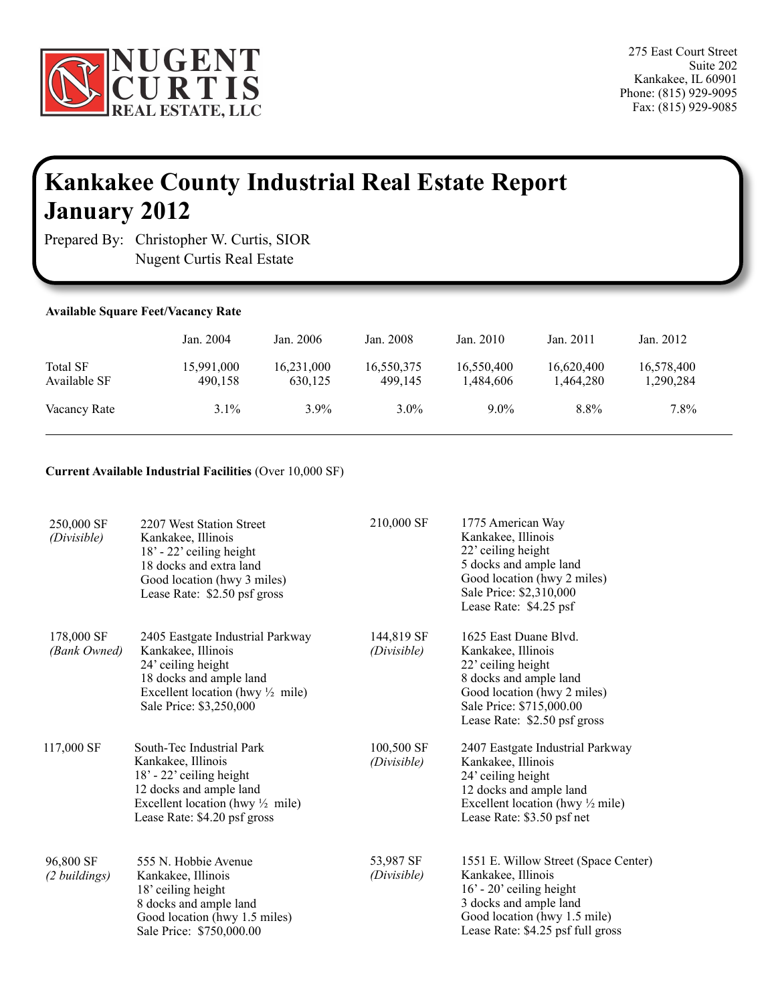

## **Kankakee County Industrial Real Estate Report January 2012**

Prepared By: Christopher W. Curtis, SIOR Nugent Curtis Real Estate

ï

| <b>Available Square Feet/Vacancy Rate</b> |                       |                       |                       |                         |                         |                         |  |
|-------------------------------------------|-----------------------|-----------------------|-----------------------|-------------------------|-------------------------|-------------------------|--|
|                                           | Jan. 2004             | Jan. 2006             | Jan. 2008             | Jan. $2010$             | Jan. $2011$             | Jan. 2012               |  |
| <b>Total SF</b><br>Available SF           | 15,991,000<br>490,158 | 16,231,000<br>630.125 | 16,550,375<br>499.145 | 16,550,400<br>1,484,606 | 16,620,400<br>1,464,280 | 16,578,400<br>1,290,284 |  |
| Vacancy Rate                              | 3.1%                  | $3.9\%$               | $3.0\%$               | $9.0\%$                 | 8.8%                    | 7.8%                    |  |

## **Current Available Industrial Facilities** (Over 10,000 SF)

| 250,000 SF<br>(Divisible)  | 2207 West Station Street<br>Kankakee, Illinois<br>18' - 22' ceiling height<br>18 docks and extra land<br>Good location (hwy 3 miles)<br>Lease Rate: \$2.50 psf gross                  | 210,000 SF                | 1775 American Way<br>Kankakee, Illinois<br>22' ceiling height<br>5 docks and ample land<br>Good location (hwy 2 miles)<br>Sale Price: \$2,310,000<br>Lease Rate: \$4.25 psf             |
|----------------------------|---------------------------------------------------------------------------------------------------------------------------------------------------------------------------------------|---------------------------|-----------------------------------------------------------------------------------------------------------------------------------------------------------------------------------------|
| 178,000 SF<br>(Bank Owned) | 2405 Eastgate Industrial Parkway<br>Kankakee, Illinois<br>24' ceiling height<br>18 docks and ample land<br>Excellent location (hwy $\frac{1}{2}$ mile)<br>Sale Price: \$3,250,000     | 144,819 SF<br>(Divisible) | 1625 East Duane Blvd.<br>Kankakee, Illinois<br>22' ceiling height<br>8 docks and ample land<br>Good location (hwy 2 miles)<br>Sale Price: \$715,000.00<br>Lease Rate: \$2.50 psf gross  |
| 117,000 SF                 | South-Tec Industrial Park<br>Kankakee, Illinois<br>18' - 22' ceiling height<br>12 docks and ample land<br>Excellent location (hwy $\frac{1}{2}$ mile)<br>Lease Rate: \$4.20 psf gross | 100,500 SF<br>(Divisible) | 2407 Eastgate Industrial Parkway<br>Kankakee, Illinois<br>24' ceiling height<br>12 docks and ample land<br>Excellent location (hwy $\frac{1}{2}$ mile)<br>Lease Rate: \$3.50 psf net    |
| 96,800 SF<br>(2 buildings) | 555 N. Hobbie Avenue<br>Kankakee, Illinois<br>18' ceiling height<br>8 docks and ample land<br>Good location (hwy 1.5 miles)<br>Sale Price: \$750,000.00                               | 53,987 SF<br>(Divisible)  | 1551 E. Willow Street (Space Center)<br>Kankakee, Illinois<br>$16'$ - 20' ceiling height<br>3 docks and ample land<br>Good location (hwy 1.5 mile)<br>Lease Rate: \$4.25 psf full gross |